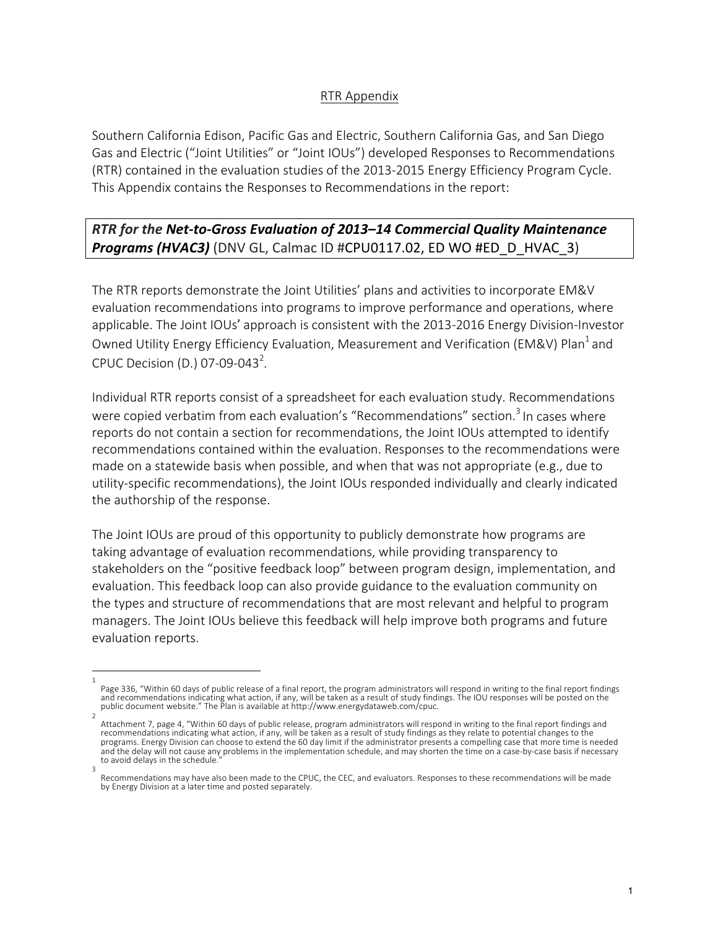## RTR Appendix

Southern California Edison, Pacific Gas and Electric, Southern California Gas, and San Diego Gas and Electric ("Joint Utilities" or "Joint IOUs") developed Responses to Recommendations (RTR) contained in the evaluation studies of the 2013-2015 Energy Efficiency Program Cycle. This Appendix contains the Responses to Recommendations in the report:

## **RTR** for the Net-to-Gross Evaluation of 2013–14 Commercial Quality Maintenance **Programs (HVAC3)** (DNV GL, Calmac ID #CPU0117.02, ED WO #ED\_D\_HVAC\_3)

The RTR reports demonstrate the Joint Utilities' plans and activities to incorporate EM&V evaluation recommendations into programs to improve performance and operations, where applicable. The Joint IOUs' approach is consistent with the 2013-2016 Energy Division-Investor Owned Utility Energy Efficiency Evaluation, Measurement and Verification (EM&V) Plan<sup>1</sup> and CPUC Decision (D.) 07-09-043<sup>2</sup>.

Individual RTR reports consist of a spreadsheet for each evaluation study. Recommendations were copied verbatim from each evaluation's "Recommendations" section.<sup>3</sup> In cases where reports do not contain a section for recommendations, the Joint IOUs attempted to identify recommendations contained within the evaluation. Responses to the recommendations were made on a statewide basis when possible, and when that was not appropriate  $(e.g.,$  due to utility-specific recommendations), the Joint IOUs responded individually and clearly indicated the authorship of the response.

The Joint IOUs are proud of this opportunity to publicly demonstrate how programs are taking advantage of evaluation recommendations, while providing transparency to stakeholders on the "positive feedback loop" between program design, implementation, and evaluation. This feedback loop can also provide guidance to the evaluation community on the types and structure of recommendations that are most relevant and helpful to program managers. The Joint IOUs believe this feedback will help improve both programs and future evaluation reports.

<sup>1</sup>  Page 336, "Within 60 days of public release of a final report, the program administrators will respond in writing to the final report findings and recommendations indicating what action, if any, will be taken as a result of study findings. The IOU responses will be posted on the public document website." The Plan is available at http://www.energydataweb.com/cpuc.

<sup>2</sup>  Attachment 7, page 4, "Within 60 days of public release, program administrators will respond in writing to the final report findings and recommendations indicating what action, if any, will be taken as a result of study findings as they relate to potential changes to the programs. Energy Division can choose to extend the 60 day limit if the administrator presents a compelling case that more time is needed and the delay will not cause any problems in the implementation schedule, and may shorten the time on a case-by-case basis if necessary to avoid delays in the schedule. 3 

Recommendations may have also been made to the CPUC, the CEC, and evaluators. Responses to these recommendations will be made by Energy Division at a later time and posted separately.